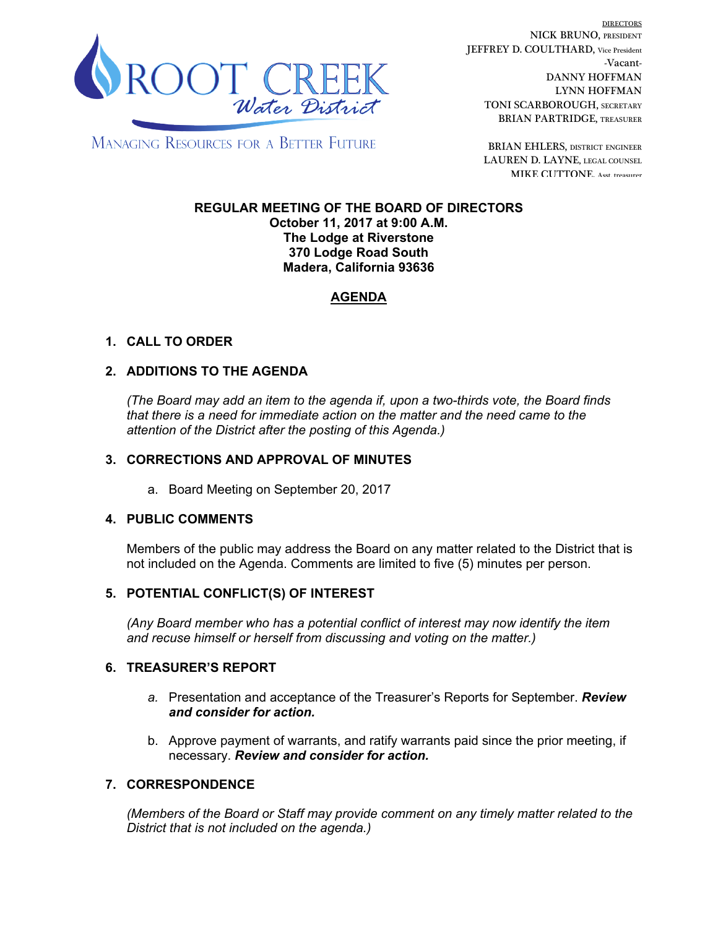

DIRECTORS NICK BRUNO, PRESIDENT JEFFREY D. COULTHARD, Vice President -Vacant-DANNY HOFFMAN LYNN HOFFMAN TONI SCARBOROUGH, SECRETARY BRIAN PARTRIDGE, TREASURER

**MANAGING RESOURCES FOR A BETTER FUTURE** 

BRIAN EHLERS, DISTRICT ENGINEER LAUREN D. LAYNE, LEGAL COUNSEL MIKE CUTTONE, Asst. treasurer

#### **REGULAR MEETING OF THE BOARD OF DIRECTORS October 11, 2017 at 9:00 A.M. The Lodge at Riverstone 370 Lodge Road South Madera, California 93636**

# **AGENDA**

## **1. CALL TO ORDER**

### **2. ADDITIONS TO THE AGENDA**

*(The Board may add an item to the agenda if, upon a two-thirds vote, the Board finds that there is a need for immediate action on the matter and the need came to the attention of the District after the posting of this Agenda.)*

### **3. CORRECTIONS AND APPROVAL OF MINUTES**

a. Board Meeting on September 20, 2017

### **4. PUBLIC COMMENTS**

Members of the public may address the Board on any matter related to the District that is not included on the Agenda. Comments are limited to five (5) minutes per person.

### **5. POTENTIAL CONFLICT(S) OF INTEREST**

*(Any Board member who has a potential conflict of interest may now identify the item and recuse himself or herself from discussing and voting on the matter.)*

#### **6. TREASURER'S REPORT**

- *a.* Presentation and acceptance of the Treasurer's Reports for September. *Review and consider for action.*
- b. Approve payment of warrants, and ratify warrants paid since the prior meeting, if necessary. *Review and consider for action.*

### **7. CORRESPONDENCE**

*(Members of the Board or Staff may provide comment on any timely matter related to the District that is not included on the agenda.)*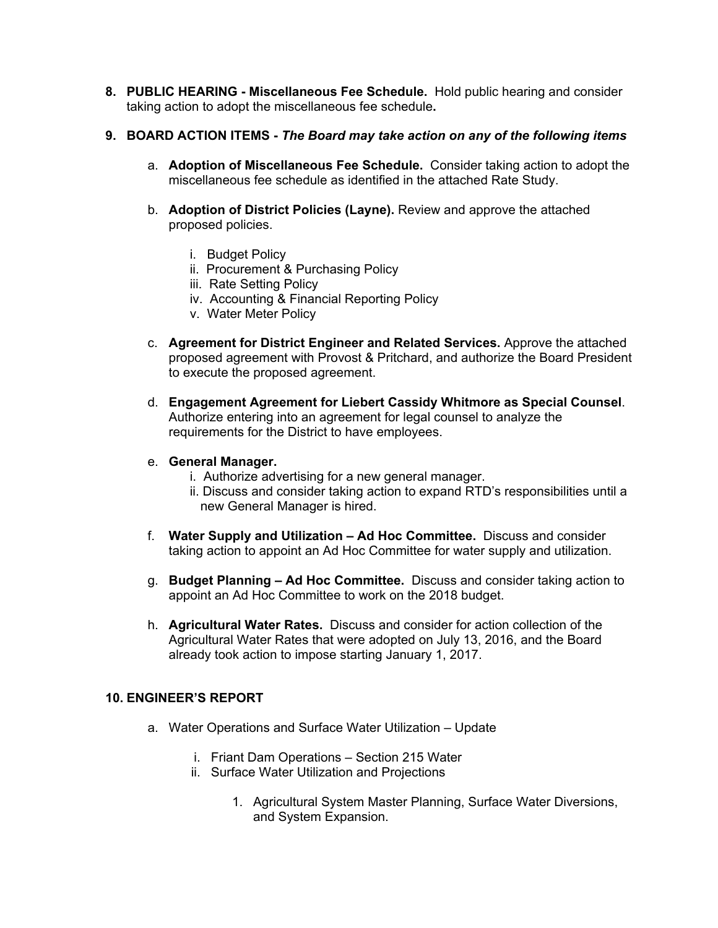**8. PUBLIC HEARING - Miscellaneous Fee Schedule.** Hold public hearing and consider taking action to adopt the miscellaneous fee schedule**.** 

### **9. BOARD ACTION ITEMS -** *The Board may take action on any of the following items*

- a. **Adoption of Miscellaneous Fee Schedule.** Consider taking action to adopt the miscellaneous fee schedule as identified in the attached Rate Study.
- b. **Adoption of District Policies (Layne).** Review and approve the attached proposed policies.
	- i. Budget Policy
	- ii. Procurement & Purchasing Policy
	- iii. Rate Setting Policy
	- iv. Accounting & Financial Reporting Policy
	- v. Water Meter Policy
- c. **Agreement for District Engineer and Related Services.** Approve the attached proposed agreement with Provost & Pritchard, and authorize the Board President to execute the proposed agreement.
- d. **Engagement Agreement for Liebert Cassidy Whitmore as Special Counsel**. Authorize entering into an agreement for legal counsel to analyze the requirements for the District to have employees.
- e. **General Manager.**
	- i. Authorize advertising for a new general manager.
	- ii. Discuss and consider taking action to expand RTD's responsibilities until a new General Manager is hired.
- f. **Water Supply and Utilization Ad Hoc Committee.** Discuss and consider taking action to appoint an Ad Hoc Committee for water supply and utilization.
- g. **Budget Planning Ad Hoc Committee.** Discuss and consider taking action to appoint an Ad Hoc Committee to work on the 2018 budget.
- h. **Agricultural Water Rates.** Discuss and consider for action collection of the Agricultural Water Rates that were adopted on July 13, 2016, and the Board already took action to impose starting January 1, 2017.

### **10. ENGINEER'S REPORT**

- a. Water Operations and Surface Water Utilization Update
	- i. Friant Dam Operations Section 215 Water
	- ii. Surface Water Utilization and Projections
		- 1. Agricultural System Master Planning, Surface Water Diversions, and System Expansion.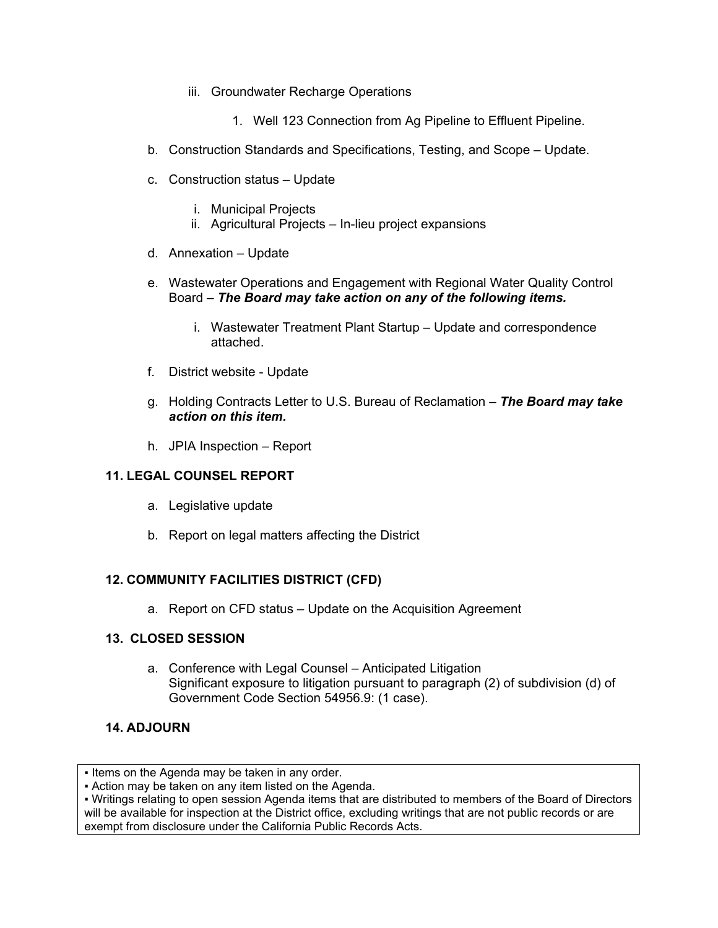- iii. Groundwater Recharge Operations
	- 1. Well 123 Connection from Ag Pipeline to Effluent Pipeline.
- b. Construction Standards and Specifications, Testing, and Scope Update.
- c. Construction status Update
	- i. Municipal Projects
	- ii. Agricultural Projects In-lieu project expansions
- d. Annexation Update
- e. Wastewater Operations and Engagement with Regional Water Quality Control Board – *The Board may take action on any of the following items.*
	- i. Wastewater Treatment Plant Startup Update and correspondence attached.
- f. District website Update
- g. Holding Contracts Letter to U.S. Bureau of Reclamation *The Board may take action on this item.*
- h. JPIA Inspection Report

### **11. LEGAL COUNSEL REPORT**

- a. Legislative update
- b. Report on legal matters affecting the District

## **12. COMMUNITY FACILITIES DISTRICT (CFD)**

a. Report on CFD status – Update on the Acquisition Agreement

### **13. CLOSED SESSION**

a. Conference with Legal Counsel – Anticipated Litigation Significant exposure to litigation pursuant to paragraph (2) of subdivision (d) of Government Code Section 54956.9: (1 case).

### **14. ADJOURN**

▪ Action may be taken on any item listed on the Agenda.

▪ Writings relating to open session Agenda items that are distributed to members of the Board of Directors will be available for inspection at the District office, excluding writings that are not public records or are exempt from disclosure under the California Public Records Acts.

**<sup>.</sup>** Items on the Agenda may be taken in any order.